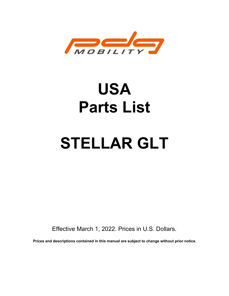

# USA Parts List

# STELLAR GLT

Effective March 1, 2022. Prices in U.S. Dollars.

Prices and descriptions contained in this manual are subject to change without prior notice.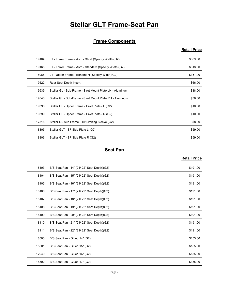# **Stellar GLT Frame-Seat Pan**

#### **Frame Components**

#### Retail Price

|       | <b>Stellar GLT Frame-Seat Pan</b>                        |                     |
|-------|----------------------------------------------------------|---------------------|
|       |                                                          |                     |
|       | <b>Frame Components</b>                                  |                     |
|       |                                                          | <b>Retail Price</b> |
| 19164 | LT - Lower Frame - Asm - Short (Specify Width)(G2)       | \$609.00            |
| 19165 | LT - Lower Frame - Asm - Standard (Specify Width)(G2)    | \$618.00            |
| 18966 | LT - Upper Frame - Bondment (Specify Width)(G2)          | \$351.00            |
| 19522 | Rear Seat Depth Insert                                   | \$66.00             |
| 19539 | Stellar GL - Sub-Frame - Strut Mount Plate LH - Aluminum | \$38.00             |
| 19540 | Stellar GL - Sub-Frame - Strut Mount Plate RH - Aluminum | \$38.00             |
| 19398 | Stellar GL - Upper Frame - Pivot Plate - L (G2)          | \$10.00             |
| 19399 | Stellar GL - Upper Frame - Pivot Plate - R (G2)          | \$10.00             |
| 17516 | Stellar GL Sub Frame - Tilt Limiting Sleeve (G2)         | \$8.00              |
| 18805 | Stellar GLT - SF Side Plate L (G2)                       | \$59.00             |
| 18806 | Stellar GLT - SF Side Plate R (G2)                       | \$59.00             |
|       | <b>Seat Pan</b>                                          |                     |
|       |                                                          | <b>Retail Price</b> |
| 18103 | B/S Seat Pan - 14" (21/ 22" Seat Depth)(G2)              | \$191.00            |
| 18104 | B/S Seat Pan - 15" (21/ 22" Seat Depth)(G2)              | \$191.00            |
| 18105 | B/S Seat Pan - 16" (21/22" Seat Depth)(G2)               | \$191.00            |
| 18106 | B/S Seat Pan - 17" (21/22" Seat Depth)(G2)               | \$191.00            |
| 18107 | B/S Seat Pan - 18" (21/22" Seat Depth)(G2)               | \$191.00            |
| 18108 | B/S Seat Pan - 19" (21/ 22" Seat Denth)(G2)              | \$191.00            |

#### **Seat Pan**

| Stellar GL - Sub-Frame - Strut Mount Plate RH - Aluminum | \$38.00             |
|----------------------------------------------------------|---------------------|
|                                                          |                     |
| Stellar GL - Upper Frame - Pivot Plate - L (G2)          | \$10.00             |
| Stellar GL - Upper Frame - Pivot Plate - R (G2)          | \$10.00             |
| Stellar GL Sub Frame - Tilt Limiting Sleeve (G2)         | \$8.00              |
| Stellar GLT - SF Side Plate L (G2)                       | \$59.00             |
| Stellar GLT - SF Side Plate R (G2)                       | \$59.00             |
|                                                          |                     |
|                                                          | <b>Retail Price</b> |
| B/S Seat Pan - 14" (21/ 22" Seat Depth)(G2)              | \$191.00            |
| B/S Seat Pan - 15" (21/ 22" Seat Depth)(G2)              | \$191.00            |
| B/S Seat Pan - 16" (21/22" Seat Depth)(G2)               | \$191.00            |
| B/S Seat Pan - 17" (21/ 22" Seat Depth)(G2)              | \$191.00            |
| B/S Seat Pan - 18" (21/22" Seat Depth) (G2)              | \$191.00            |
| B/S Seat Pan - 19" (21/ 22" Seat Depth)(G2)              | \$191.00            |
| B/S Seat Pan - 20" (21/22" Seat Depth)(G2)               | \$191.00            |
| B/S Seat Pan - 21" (21/22" Seat Depth)(G2)               | \$191.00            |
| B/S Seat Pan - 22" (21/22" Seat Depth)(G2)               | \$191.00            |
| B/S Seat Pan - Glued 14" (G2)                            | \$155.00            |
| B/S Seat Pan - Glued 15" (G2)                            | \$155.00            |
| B/S Seat Pan - Glued 16" (G2)                            | \$155.00            |
| B/S Seat Pan - Glued 17" (G2)                            | \$155.00            |
| Page 2                                                   |                     |
|                                                          | <b>Seat Pan</b>     |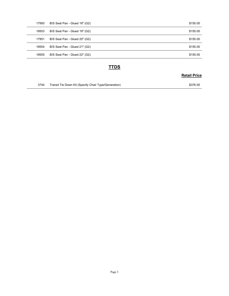| 17950 | B/S Seat Pan - Glued 18" (G2) | \$155.00            |
|-------|-------------------------------|---------------------|
| 18503 | B/S Seat Pan - Glued 19" (G2) | \$155.00            |
| 17951 | B/S Seat Pan - Glued 20" (G2) | \$155.00            |
| 18504 | B/S Seat Pan - Glued 21" (G2) | \$155.00            |
| 18505 | B/S Seat Pan - Glued 22" (G2) | \$155.00            |
|       |                               |                     |
|       | <b>TTDS</b>                   | <b>Retail Price</b> |

#### **TTDS**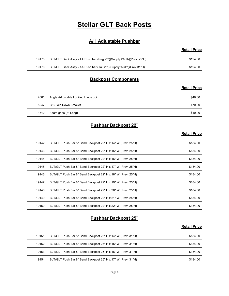# Stellar GLT Back Posts

#### A/H Adjustable Pushbar

#### Retail Price

| <b>Stellar GLT Back Posts</b>                                       |                                                             |                     |
|---------------------------------------------------------------------|-------------------------------------------------------------|---------------------|
|                                                                     |                                                             |                     |
|                                                                     |                                                             |                     |
| BLT/GLT Back Assy - AA Push bar (Reg 22")(Supply Width)(Prev. 25"H) | \$194.00                                                    |                     |
| BLT/GLT Back Assy - AA Push bar (Tall 25")(Supply Width)(Prev 31"H) | \$194.00                                                    |                     |
|                                                                     |                                                             |                     |
|                                                                     | <b>Retail Price</b>                                         |                     |
|                                                                     | <b>A/H Adjustable Pushbar</b><br><b>Backpost Components</b> | <b>Retail Price</b> |

#### Backpost Components

#### Retail Price

|       | <b>Stellar GLT Back Posts</b>                                       |                     |
|-------|---------------------------------------------------------------------|---------------------|
|       | <b>A/H Adjustable Pushbar</b>                                       |                     |
|       |                                                                     | <b>Retail Price</b> |
| 19175 | BLT/GLT Back Assy - AA Push bar (Reg 22")(Supply Width)(Prev. 25"H) | \$194.00            |
| 19176 | BLT/GLT Back Assy - AA Push bar (Tall 25")(Supply Width)(Prev 31"H) | \$194.00            |
|       | <b>Backpost Components</b>                                          |                     |
|       |                                                                     | <b>Retail Price</b> |
| 4061  | Angle Adjustable Locking Hinge Joint                                | \$48.00             |
| 5247  | <b>B/S Fold Down Bracket</b>                                        | \$70.00             |
|       |                                                                     | \$10.00             |

#### Pushbar Backpost 22"

#### **Retail Price**

|       |                                                                     | <b>Retail Price</b> |
|-------|---------------------------------------------------------------------|---------------------|
| 19175 | BLT/GLT Back Assy - AA Push bar (Reg 22")(Supply Width)(Prev. 25"H) | \$194.00            |
| 19176 | BLT/GLT Back Assy - AA Push bar (Tall 25")(Supply Width)(Prev 31"H) | \$194.00            |
|       | <b>Backpost Components</b>                                          |                     |
|       |                                                                     | <b>Retail Price</b> |
| 4061  | Angle Adjustable Locking Hinge Joint                                | \$48.00             |
| 5247  | <b>B/S Fold Down Bracket</b>                                        | \$70.00             |
| 1512  | Foam grips (8" Long)                                                | \$10.00             |
|       | <b>Pushbar Backpost 22"</b>                                         |                     |
|       |                                                                     | <b>Retail Price</b> |
| 19142 | BLT/GLT Push Bar 8° Bend Backpost 22" H x 14" W (Prev. 25"H)        | \$184.00            |
| 19143 | BLT/GLT Push Bar 8° Bend Backpost 22" H x 15" W (Prev. 25"H)        | \$184.00            |
| 19144 | BLT/GLT Push Bar 8° Bend Backpost 22" H x 16" W (Prev. 25"H)        | \$184.00            |
| 19145 | BLT/GLT Push Bar 8° Bend Backpost 22" H x 17" W (Prev. 25"H)        | \$184.00            |
| 19146 | BLT/GLT Push Bar 8° Bend Backpost 22" H x 18" W (Prev. 25"H)        | \$184.00            |
| 19147 | BLT/GLT Push Bar 8° Bend Backpost 22" H x 19" W (Prev. 25"H)        | \$184.00            |
| 19148 | BLT/GLT Push Bar 8° Bend Backpost 22" H x 20" W (Prev. 25"H)        | \$184.00            |
| 19149 | BLT/GLT Push Bar 8° Bend Backpost 22" H x 21" W (Prev. 25"H)        | \$184.00            |
| 19150 | BLT/GLT Push Bar 8° Bend Backpost 22" H x 22" W (Prev. 25"H)        | \$184.00            |
|       | <b>Pushbar Backpost 25"</b>                                         |                     |
|       |                                                                     | <b>Retail Price</b> |
| 19151 | BLT/GLT Push Bar 8° Bend Backpost 25" H x 14" W (Prev. 31"H)        | \$184.00            |
| 19152 | BLT/GLT Push Bar 8° Bend Backpost 25" H x 15" W (Prev. 31"H)        | \$184.00            |
| 19153 | BLT/GLT Push Bar 8° Bend Backpost 25" H x 16" W (Prev. 31"H)        | \$184.00            |
|       | BLT/GLT Push Bar 8° Bend Backpost 25" H x 17" W (Prev. 31"H)        | \$184.00            |

#### Pushbar Backpost 25"

| 19151 | BLT/GLT Push Bar 8° Bend Backpost 25" H x 14" W (Prev. 31"H) | \$184.00 |
|-------|--------------------------------------------------------------|----------|
| 19152 | BLT/GLT Push Bar 8° Bend Backpost 25" H x 15" W (Prev. 31"H) | \$184.00 |
| 19153 | BLT/GLT Push Bar 8° Bend Backpost 25" H x 16" W (Prev. 31"H) | \$184.00 |
| 19154 | BLT/GLT Push Bar 8° Bend Backpost 25" H x 17" W (Prev. 31"H) | \$184.00 |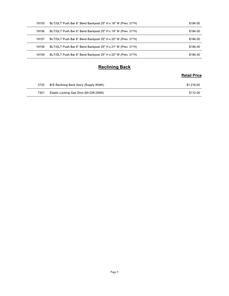| 19155 | BLT/GLT Push Bar 8° Bend Backpost 25" H x 18" W (Prev. 31"H) | \$184.00            |
|-------|--------------------------------------------------------------|---------------------|
| 19156 | BLT/GLT Push Bar 8° Bend Backpost 25" H x 19" W (Prev. 31"H) | \$184.00            |
| 19157 | BLT/GLT Push Bar 8° Bend Backpost 25" H x 20" W (Prev. 31"H) | \$184.00            |
|       | BLT/GLT Push Bar 8° Bend Backpost 25" H x 21" W (Prev. 31"H) | \$184.00            |
| 19158 |                                                              |                     |
| 19159 | BLT/GLT Push Bar 8° Bend Backpost 25" H x 22" W (Prev. 31"H) | \$184.00            |
|       |                                                              |                     |
|       | <b>Reclining Back</b>                                        | <b>Retail Price</b> |
| 2722  | B/S Reclining Back Ass'y (Supply Width)                      | \$1,216.00          |

#### Reclining Back

| 2722 | B/S Reclining Back Ass'y (Supply Width) | \$1.216.00 |
|------|-----------------------------------------|------------|
| 7301 | Elastic Locking Gas Strut (60-228-250N) | \$112.00   |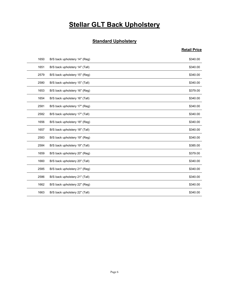# **Stellar GLT Back Upholstery**

#### **Standard Upholstery**

|      | <b>Stellar GLT Back Upholstery</b> |                     |
|------|------------------------------------|---------------------|
|      | <b>Standard Upholstery</b>         |                     |
|      |                                    | <b>Retail Price</b> |
| 1650 | B/S back upholstery 14" (Reg)      | \$340.00            |
| 1651 | B/S back upholstery 14" (Tall)     | \$340.00            |
| 2579 | B/S back upholstery 15" (Reg)      | \$340.00            |
| 2580 | B/S back upholstery 15" (Tall)     | \$340.00            |
| 1653 | B/S back upholstery 16" (Reg)      | \$379.00            |
| 1654 | B/S back upholstery 16" (Tall)     | \$340.00            |
| 2581 | B/S back upholstery 17" (Reg)      | \$340.00            |
| 2582 | B/S back upholstery 17" (Tall)     | \$340.00            |
| 1656 | B/S back upholstery 18" (Reg)      | \$340.00            |
| 1657 | B/S back upholstery 18" (Tall)     | \$340.00            |
| 2583 | B/S back upholstery 19" (Reg)      | \$340.00            |
| 2584 | B/S back upholstery 19" (Tall)     | \$385.00            |
| 1659 | B/S back upholstery 20" (Reg)      | \$379.00            |
| 1660 | B/S back upholstery 20" (Tall)     | \$340.00            |
| 2585 | B/S back upholstery 21" (Reg)      | \$340.00            |
| 2586 | B/S back upholstery 21" (Tall)     | \$340.00            |
| 1662 | B/S back upholstery 22" (Reg)      | \$340.00            |
| 1663 | B/S back upholstery 22" (Tall)     | \$340.00            |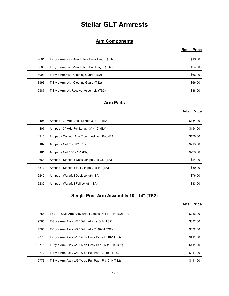# Stellar GLT Armrests

#### Arm Components

#### Retail Price

|       | <b>Stellar GLT Armrests</b>                    |                     |
|-------|------------------------------------------------|---------------------|
|       |                                                |                     |
|       | <b>Arm Components</b>                          | <b>Retail Price</b> |
| 19681 | T-Style Armrest - Arm Tube - Desk Length (TS2) | \$19.00             |
| 19680 | T-Style Armrest - Arm Tube - Full Length (TS2) | \$24.00             |
| 18993 | T-Style Armrest - Clothing Guard (TS2)         | \$66.00             |
| 18993 | T-Style Armrest - Clothing Guard (TS2)         | \$66.00             |
| 19587 | T-Style Armrest Receiver Assembly (TS2)        | \$38.00             |
|       | <b>Arm Pads</b>                                |                     |
|       |                                                | <b>Retail Price</b> |
| 11406 | Armpad - 3" wide Desk Length 3" x 10" (EA)     | \$154.00            |
| 11407 | Armpad - 3" wide Full Length 3" x 12" (EA)     | \$154.00            |
| 14215 | Armpad - Contour Arm Trough w/Hand Pad (EA)    | \$176.00            |
| 5102  | Armpad - Gel 2" x 12" (PR)                     | \$213.00            |
| 5101  | Armnad - Gel 3 5" y 12" (PR)                   | \$228.00            |

#### Arm Pads

#### Retail Price

|       | <b>Arm Components</b>                                    |                     |
|-------|----------------------------------------------------------|---------------------|
|       |                                                          | <b>Retail Price</b> |
| 19681 | T-Style Armrest - Arm Tube - Desk Length (TS2)           | \$19.00             |
| 19680 | T-Style Armrest - Arm Tube - Full Length (TS2)           | \$24.00             |
| 18993 | T-Style Armrest - Clothing Guard (TS2)                   | \$66.00             |
| 18993 | T-Style Armrest - Clothing Guard (TS2)                   | \$66.00             |
| 19587 | T-Style Armrest Receiver Assembly (TS2)                  | \$38.00             |
|       | <b>Arm Pads</b>                                          |                     |
|       |                                                          | <b>Retail Price</b> |
| 11406 | Armpad - 3" wide Desk Length 3" x 10" (EA)               | \$154.00            |
| 11407 | Armpad - 3" wide Full Length 3" x 12" (EA)               | \$154.00            |
| 14215 | Armpad - Contour Arm Trough w/Hand Pad (EA)              | \$176.00            |
| 5102  | Armpad - Gel 2" x 12" (PR)                               | \$213.00            |
| 5101  | Armpad - Gel 3.5" x 12" (PR)                             | \$228.00            |
| 19664 | Armpad - Standard Desk Length 2" x 9.5" (EA)             | \$24.00             |
| 13812 | Armpad - Standard Full Length 2" x 14" (EA)              | \$39.00             |
| 6240  | Armpad - Waterfall Desk Length (EA)                      | \$76.00             |
| 6239  | Armpad - Waterfall Full Length (EA)                      | \$83.00             |
|       | Single Post Arm Assembly 10"-14" (TS2)                   |                     |
|       |                                                          | <b>Retail Price</b> |
| 19758 | TS2 - T-Style Arm Assy w/Full Length Pad (10-14 TS2) - R | \$216.00            |
| 19765 | T-Style Arm Assy w/2" Gel pad - L (10-14 TS2)            | \$332.00            |
| 19766 | T-Style Arm Assy w/2" Gel pad - R (10-14 TS2)            | \$332.00            |
| 19770 | T-Style Arm Assy w/3" Wide Desk Pad - L (10-14 TS2)      | \$411.00            |
| 19771 | T-Style Arm Assy w/3" Wide Desk Pad - R (10-14 TS2)      | \$411.00            |
| 19772 | T-Style Arm Assy w/3" Wide Full Pad - 1 (10-14 TS2)      | \$411.00            |

#### Single Post Arm Assembly 10"-14" (TS2)

| 5102  |                                                          |                     |
|-------|----------------------------------------------------------|---------------------|
|       | Armpad - Gel 2" x 12" (PR)                               | \$213.00            |
| 5101  | Armpad - Gel 3.5" x 12" (PR)                             | \$228.00            |
| 19664 | Armpad - Standard Desk Length 2" x 9.5" (EA)             | \$24.00             |
| 13812 | Armpad - Standard Full Length 2" x 14" (EA)              | \$39.00             |
| 6240  | Armpad - Waterfall Desk Length (EA)                      | \$76.00             |
| 6239  | Armpad - Waterfall Full Length (EA)                      | \$83.00             |
|       | Single Post Arm Assembly 10"-14" (TS2)                   | <b>Retail Price</b> |
| 19758 | TS2 - T-Style Arm Assy w/Full Length Pad (10-14 TS2) - R | \$216.00            |
| 19765 | T-Style Arm Assy w/2" Gel pad - L (10-14 TS2)            | \$332.00            |
|       |                                                          |                     |
| 19766 | T-Style Arm Assy w/2" Gel pad - R (10-14 TS2)            | \$332.00            |
| 19770 | T-Style Arm Assy w/3" Wide Desk Pad - L (10-14 TS2)      | \$411.00            |
| 19771 | T-Style Arm Assy w/3" Wide Desk Pad - R (10-14 TS2)      | \$411.00            |
| 19772 | T-Style Arm Assy w/3" Wide Full Pad - L (10-14 TS2)      | \$411.00            |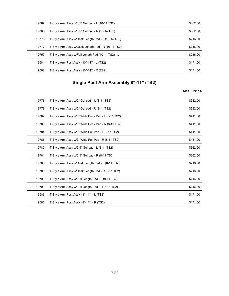| 19767<br>19768 | T-Style Arm Assy w/3.5" Gel pad - L (10-14 TS2)<br>T-Style Arm Assy w/3.5" Gel pad - R (10-14 TS2) | \$362.00<br>\$362.00 |
|----------------|----------------------------------------------------------------------------------------------------|----------------------|
| 19776          | T-Style Arm Assy w/Desk Length Pad - L (10-14 TS2)                                                 | \$216.00             |
| 19777          | T-Style Arm Assy w/Desk Length Pad - R (10-14 TS2)                                                 | \$216.00             |
|                |                                                                                                    | \$216.00             |
| 19757          | T-Style Arm Assy w/Full Length Pad (10-14 TS2) - L                                                 |                      |
| 19584          | T-Style Arm Post Ass'y (10"-14") - L (TS2)                                                         | \$171.00             |
| 19583          | T-Style Arm Post Ass'y (10"-14") - R (TS2)                                                         | \$171.00             |
|                | Single Post Arm Assembly 8"-11" (TS2)                                                              |                      |
|                |                                                                                                    | <b>Retail Price</b>  |
| 19778          | T-Style Arm Assy w/2" Gel pad - L (8-11 TS2)                                                       | \$332.00             |
|                | T-Style Arm Assy w/2" Gel pad - R (8-11 TS2)                                                       | \$332.00             |
| 19779          |                                                                                                    |                      |
| 19782          | T-Style Arm Assy w/3" Wide Desk Pad - L (8-11 TS2)                                                 | \$411.00             |
| 19783          | T-Style Arm Assy w/3" Wide Desk Pad - R (8-11 TS2)                                                 | \$411.00             |
| 19784          | T-Style Arm Assy w/3" Wide Full Pad - L (8-11 TS2)                                                 | \$411.00             |

#### Single Post Arm Assembly 8"-11" (TS2)

| 19768 | T-Style Arm Assy w/3.5" Gel pad - R (10-14 TS2)    | \$362.00            |
|-------|----------------------------------------------------|---------------------|
| 19776 | T-Style Arm Assy w/Desk Length Pad - L (10-14 TS2) | \$216.00            |
| 19777 | T-Style Arm Assy w/Desk Length Pad - R (10-14 TS2) | \$216.00            |
| 19757 | T-Style Arm Assy w/Full Length Pad (10-14 TS2) - L | \$216.00            |
| 19584 | T-Style Arm Post Ass'y (10"-14") - L (TS2)         | \$171.00            |
| 19583 | T-Style Arm Post Ass'y (10"-14") - R (TS2)         | \$171.00            |
|       | <b>Single Post Arm Assembly 8"-11" (TS2)</b>       |                     |
|       |                                                    | <b>Retail Price</b> |
| 19778 | T-Style Arm Assy w/2" Gel pad - L (8-11 TS2)       | \$332.00            |
| 19779 | T-Style Arm Assy w/2" Gel pad - R (8-11 TS2)       | \$332.00            |
| 19782 | T-Style Arm Assy w/3" Wide Desk Pad - L (8-11 TS2) | \$411.00            |
| 19783 | T-Style Arm Assy w/3" Wide Desk Pad - R (8-11 TS2) | \$411.00            |
| 19784 | T-Style Arm Assy w/3" Wide Full Pad - L (8-11 TS2) | \$411.00            |
| 19785 | T-Style Arm Assy w/3" Wide Full Pad - R (8-11 TS2) | \$411.00            |
| 19780 | T-Style Arm Assy w/3.5" Gel pad - L (8-11 TS2)     | \$362.00            |
| 19781 | T-Style Arm Assy w/3.5" Gel pad - R (8-11 TS2)     | \$362.00            |
| 19788 | T-Style Arm Assy w/Desk Length Pad - L (8-11 TS2)  | \$216.00            |
| 19789 | T-Style Arm Assy w/Desk Length Pad - R (8-11 TS2)  | \$216.00            |
| 19790 | T-Style Arm Assy w/Full Length Pad - L (8-11 TS2)  | \$216.00            |
| 19791 | T-Style Arm Assy w/Full Length Pad - R (8-11 TS2)  | \$216.00            |
| 19586 | T-Style Arm Post Ass'y (8"-11") - L (TS2)          | \$171.00            |
| 19585 | T-Style Arm Post Ass'y (8"-11") - R (TS2)          | \$171.00            |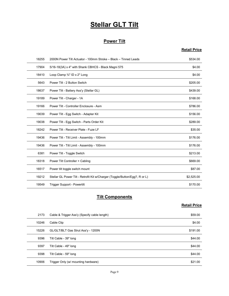# Stellar GLT Tilt

#### Power Tilt

#### Retail Price

|       | <b>Stellar GLT Tilt</b>                                                     |                     |
|-------|-----------------------------------------------------------------------------|---------------------|
|       |                                                                             |                     |
|       | <b>Power Tilt</b>                                                           |                     |
|       |                                                                             | <b>Retail Price</b> |
| 18255 | 2000N Power Tilt Actuator - 100mm Stroke - Black - Tinned Leads             | \$534.00            |
| 17904 | 5/16-18(3A) x 4" with Shank CBHCS - Black Magni 575                         | \$4.00              |
| 18410 | Loop Clamp 3/4" ID x 2" Long                                                | \$4.00              |
| 5643  | Power Tilt - 2 Button Switch                                                | \$205.00            |
| 18637 | Power Tilt - Battery Ass'y (Stellar GL)                                     | \$439.00            |
| 19189 | Power Tilt - Charger - 1A                                                   | \$168.00            |
| 19166 | Power Tilt - Controller Enclosure - Asm                                     | \$786.00            |
| 19039 | Power Tilt - Egg Switch - Adapter Kit                                       | \$156.00            |
| 19038 | Power Tilt - Egg Switch - Parts Order Kit                                   | \$289.00            |
| 18242 | Power Tilt - Receiver Plate - Fuze LF                                       | \$35.00             |
| 19436 | Power Tilt - Tilt Limit - Assembly - 100mm                                  | \$176.00            |
| 19436 | Power Tilt - Tilt Limit - Assembly - 100mm                                  | \$176.00            |
| 6381  | Power Tilt - Toggle Switch                                                  | \$213.00            |
| 18318 | Power Tilt Controller + Cabling                                             | \$669.00            |
| 16517 | Power tilt toggle switch mount                                              | \$87.00             |
| 19212 | Stellar GL Power Tilt - Retrofit Kit w/Charger (Toggle/Button/Egg?, R or L) | \$2,525.00          |
| 19549 | Trigger Support - Powertilt                                                 | \$170.00            |
|       | <b>Tilt Components</b>                                                      |                     |
|       |                                                                             | <b>Retail Price</b> |
| 2173  | Cable & Trigger Ass'y (Specify cable length)                                | \$59.00             |
| 10246 | Cable Clip                                                                  | \$4.00              |
| 15226 | GL/GLT/BLT Gas Strut Ass'y - 1200N                                          | \$191.00            |
| 9396  | Tilt Cable - 39" long                                                       | \$44.00             |
| 9397  | Tilt Cable - 49" long                                                       | \$44.00             |
| 9398  | Tilt Cable - 59" Iong                                                       | \$44.00             |

#### **Tilt Components**

| 19436 | Power Tilt - Tilt Limit - Assembly - 100mm                                  | \$176.00            |
|-------|-----------------------------------------------------------------------------|---------------------|
| 6381  | Power Tilt - Toggle Switch                                                  | \$213.00            |
| 18318 | Power Tilt Controller + Cabling                                             | \$669.00            |
| 16517 | Power tilt toggle switch mount                                              | \$87.00             |
| 19212 | Stellar GL Power Tilt - Retrofit Kit w/Charger (Toggle/Button/Egg?, R or L) | \$2,525.00          |
| 19549 | Trigger Support - Powertilt                                                 | \$170.00            |
|       | <b>Tilt Components</b>                                                      |                     |
|       |                                                                             | <b>Retail Price</b> |
| 2173  | Cable & Trigger Ass'y (Specify cable length)                                | \$59.00             |
| 10246 | Cable Clip                                                                  | \$4.00              |
| 15226 | GL/GLT/BLT Gas Strut Ass'y - 1200N                                          | \$191.00            |
| 9396  | Tilt Cable - 39" long                                                       | \$44.00             |
| 9397  | Tilt Cable - 49" long                                                       | \$44.00             |
| 9398  | Tilt Cable - 59" long                                                       | \$44.00             |
| 10906 | Trigger Only (w/ mounting hardware)                                         | \$21.00             |
|       | Page 9                                                                      |                     |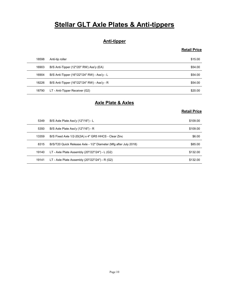# Stellar GLT Axle Plates & Anti-tippers

#### Anti-tipper

#### Retail Price

|       | <b>Stellar GLT Axle Plates &amp; Anti-tippers</b>                |                     |
|-------|------------------------------------------------------------------|---------------------|
|       |                                                                  |                     |
|       | <b>Anti-tipper</b>                                               |                     |
|       |                                                                  | <b>Retail Price</b> |
| 18598 | Anti-tip roller                                                  | \$15.00             |
| 16903 | B/S Anti-Tipper (12"/20" RW) Ass'y (EA)                          | \$54.00             |
| 16904 | B/S Anti-Tipper (16"/22"/24" RW) - Ass'y - L                     | \$54.00             |
| 18226 | B/S Anti-Tipper (16"/22"/24" RW) - Ass'y - R                     | \$54.00             |
| 18790 | LT - Anti-Tipper Receiver (G2)                                   | \$20.00             |
|       | <b>Axle Plate &amp; Axles</b>                                    |                     |
|       |                                                                  | <b>Retail Price</b> |
| 5349  | B/S Axle Plate Ass'y (12"/16") - L                               | \$109.00            |
| 5350  | B/S Axle Plate Ass'y (12"/16") - R                               | \$109.00            |
| 13359 | B/S Fixed Axle 1/2-20(3A) x 4" GR5 HHCS - Clear Zinc             | \$6.00              |
| 8315  | B/S/T20 Quick Release Axle - 1/2" Diameter (Mfg after July 2018) | \$85.00             |
| 10140 | $IT$ - Ayle Plate Assembly (20"/22"/24") - 1 (G2)                | \$132.00            |

#### Axle Plate & Axles

|       | <b>Anti-tipper</b>                                               |                     |
|-------|------------------------------------------------------------------|---------------------|
|       |                                                                  | <b>Retail Price</b> |
| 18598 | Anti-tip roller                                                  | \$15.00             |
| 16903 | B/S Anti-Tipper (12"/20" RW) Ass'y (EA)                          | \$54.00             |
| 16904 | B/S Anti-Tipper (16"/22"/24" RW) - Ass'y - L                     | \$54.00             |
| 18226 | B/S Anti-Tipper (16"/22"/24" RW) - Ass'y - R                     | \$54.00             |
| 18790 | LT - Anti-Tipper Receiver (G2)                                   | \$20.00             |
|       | <b>Axle Plate &amp; Axles</b>                                    |                     |
|       |                                                                  | <b>Retail Price</b> |
| 5349  | B/S Axle Plate Ass'y (12"/16") - L                               | \$109.00            |
| 5350  | B/S Axle Plate Ass'y (12"/16") - R                               | \$109.00            |
| 13359 | B/S Fixed Axle 1/2-20(3A) x 4" GR5 HHCS - Clear Zinc             | \$6.00              |
| 8315  | B/S/T20 Quick Release Axle - 1/2" Diameter (Mfg after July 2018) | \$85.00             |
| 19140 | LT - Axle Plate Assembly (20"/22"/24") - L (G2)                  | \$132.00            |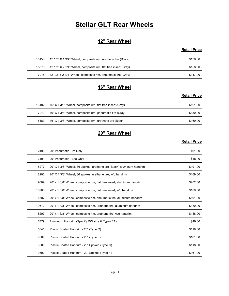# **Stellar GLT Rear Wheels**

#### 12" Rear Wheel

#### Retail Price

|       | <b>Stellar GLT Rear Wheels</b>                                 |                     |
|-------|----------------------------------------------------------------|---------------------|
|       |                                                                |                     |
|       | 12" Rear Wheel                                                 |                     |
|       |                                                                |                     |
|       |                                                                | <b>Retail Price</b> |
| 15156 | 12 1/2" X 1 3/4" Wheel, composite rim, urethane tire (Black)   | \$136.00            |
| 15878 | 12 1/2" X 2 1/4" Wheel, composite rim, flat free insert (Gray) | \$158.00            |
| 7016  | 12 1/2" x 2 1/4" Wheel, composite rim, pneumatic tire (Gray)   | \$147.00            |
|       |                                                                |                     |
|       | 16" Rear Wheel                                                 | <b>Retail Price</b> |

#### 16" Rear Wheel

#### Retail Price

| <b>Stellar GLT Rear Wheels</b> |                                                                                                                                                                                                                                                                                                                                                                                                        |
|--------------------------------|--------------------------------------------------------------------------------------------------------------------------------------------------------------------------------------------------------------------------------------------------------------------------------------------------------------------------------------------------------------------------------------------------------|
|                                |                                                                                                                                                                                                                                                                                                                                                                                                        |
| 12" Rear Wheel                 |                                                                                                                                                                                                                                                                                                                                                                                                        |
|                                | <b>Retail Price</b>                                                                                                                                                                                                                                                                                                                                                                                    |
|                                | \$136.00                                                                                                                                                                                                                                                                                                                                                                                               |
|                                | \$158.00                                                                                                                                                                                                                                                                                                                                                                                               |
|                                | \$147.00                                                                                                                                                                                                                                                                                                                                                                                               |
|                                |                                                                                                                                                                                                                                                                                                                                                                                                        |
|                                | <b>Retail Price</b>                                                                                                                                                                                                                                                                                                                                                                                    |
|                                | \$191.00                                                                                                                                                                                                                                                                                                                                                                                               |
|                                | \$180.00                                                                                                                                                                                                                                                                                                                                                                                               |
|                                | \$169.00                                                                                                                                                                                                                                                                                                                                                                                               |
|                                | 12 1/2" X 1 3/4" Wheel, composite rim, urethane tire (Black)<br>12 1/2" X 2 1/4" Wheel, composite rim, flat free insert (Gray)<br>12 1/2" x 2 1/4" Wheel, composite rim, pneumatic tire (Gray)<br>16" Rear Wheel<br>16" X 1 3/8" Wheel, composite rim, flat free insert (Gray)<br>16" X 1 3/8" Wheel, composite rim, pneumatic tire (Gray)<br>16" X 1 3/8" Wheel, composite rim, urethane tire (Black) |

#### 20" Rear Wheel

| 15156 | 12 1/2" X 1 3/4" Wheel, composite rim, urethane tire (Black)          | \$136.00            |
|-------|-----------------------------------------------------------------------|---------------------|
| 15878 | 12 1/2" X 2 1/4" Wheel, composite rim, flat free insert (Gray)        | \$158.00            |
| 7016  | 12 1/2" x 2 1/4" Wheel, composite rim, pneumatic tire (Gray)          | \$147.00            |
|       |                                                                       |                     |
|       | 16" Rear Wheel                                                        |                     |
|       |                                                                       | <b>Retail Price</b> |
| 16182 | 16" X 1 3/8" Wheel, composite rim, flat free insert (Gray)            | \$191.00            |
| 7019  | 16" X 1 3/8" Wheel, composite rim, pneumatic tire (Gray)              | \$180.00            |
| 16183 | 16" X 1 3/8" Wheel, composite rim, urethane tire (Black)              | \$169.00            |
|       |                                                                       |                     |
|       | 20" Rear Wheel                                                        |                     |
|       |                                                                       | <b>Retail Price</b> |
| 2490  | 20" Pneumatic Tire Only                                               | \$61.00             |
| 2491  | 20" Pneumatic Tube Only                                               | \$18.00             |
| 8277  | 20" X 1 3/8" Wheel, 36 spokes, urethane tire (Black) aluminum handrim | \$191.00            |
| 18205 | 20" X 1 3/8" Wheel, 36 spokes, urethane tire, w/o handrim             | \$169.00            |
| 19609 | 20" x 1 3/8" Wheel, composite rim, flat free insert, aluminum handrim | \$202.00            |
| 18203 | 20" x 1 3/8" Wheel, composite rim, flat free insert, w/o handrim      | \$180.00            |
| 6687  | 20" x 1 3/8" Wheel, composite rim, pneumatic tire, aluminum handrim   | \$191.00            |
| 19612 | 20" x 1 3/8" Wheel, composite rim, urethane tire, aluminum handrim    | \$180.00            |
| 18207 | 20" x 1 3/8" Wheel, composite rim, urethane tire, w/o handrim         | \$158.00            |
| 16779 | Aluminum Handrim (Specify RW size & Type)(EA)                         | \$49.00             |
| 5841  | Plastic Coated Handrim - 20" (Type C)                                 | \$118.00            |
| 9389  | Plastic Coated Handrim - 20" (Type F)                                 | \$161.00            |
| 6509  | Plastic Coated Handrim - 20" Spoked (Type C)                          | \$118.00            |
|       |                                                                       | \$161.00            |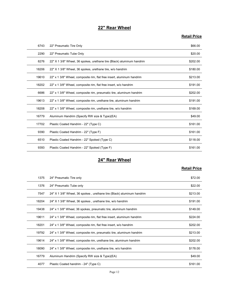#### 22" Rear Wheel

#### Retail Price

|       | 22" Rear Wheel                                                        |                     |
|-------|-----------------------------------------------------------------------|---------------------|
|       |                                                                       | <b>Retail Price</b> |
| 6743  | 22" Pneumatic Tire Only                                               | \$66.00             |
| 2290  | 22" Pneumatic Tube Only                                               | \$20.00             |
| 8276  | 22" X 1 3/8" Wheel, 36 spokes, urethane tire (Black) aluminum handrim | \$202.00            |
| 18206 | 22" X 1 3/8" Wheel, 36 spokes, urethane tire, w/o handrim             | \$180.00            |
| 19610 | 22" x 1 3/8" Wheel, composite rim, flat free insert, aluminum handrim | \$213.00            |
| 18202 | 22" x 1 3/8" Wheel, composite rim, flat free insert, w/o handrim      | \$191.00            |
| 6686  | 22" x 1 3/8" Wheel, composite rim, pneumatic tire, aluminum handrim   | \$202.00            |
| 19613 | 22" x 1 3/8" Wheel, composite rim, urethane tire, aluminum handrim    | \$191.00            |
| 18208 | 22" x 1 3/8" Wheel, composite rim, urethane tire, w/o handrim         | \$169.00            |
| 16779 | Aluminum Handrim (Specify RW size & Type)(EA)                         | \$49.00             |
| 17702 | Plastic Coated Handrim - 22" (Type C)                                 | \$161.00            |
| 9390  | Plastic Coated Handrim - 22" (Type F)                                 | \$161.00            |
| 6510  | Plastic Coated Handrim - 22" Spoked (Type C)                          | \$118.00            |
| 9393  | Plastic Coated Handrim - 22" Spoked (Type F)                          | \$161.00            |
|       | 24" Rear Wheel                                                        |                     |
|       |                                                                       | <b>Retail Price</b> |
| 1375  | 24" Pneumatic Tire only                                               | \$72.00             |
| 1376  | 24" Pneumatic Tube only                                               | \$22.00             |
| 7547  | 24" X 1 3/8" Wheel, 36 spokes, urethane tire (Black) aluminum handrim | \$213.00            |
| 18204 | 24" X 1 3/8" Wheel, 36 spokes, urethane tire, w/o handrim             | \$191.00            |
| 19438 | 24" x 1 3/8" Wheel, 36 spokes, pneumatic tire, aluminum handrim       | \$149.00            |
| 19611 | 24" x 1 3/8" Wheel composite rim flat free insert aluminum handrim    | \$224.00            |

#### 24" Rear Wheel

| 18208 | 22" x 1 3/8" Wheel, composite rim, urethane tire, w/o handrim         | \$169.00            |
|-------|-----------------------------------------------------------------------|---------------------|
| 16779 | Aluminum Handrim (Specify RW size & Type)(EA)                         | \$49.00             |
| 17702 | Plastic Coated Handrim - 22" (Type C)                                 | \$161.00            |
| 9390  | Plastic Coated Handrim - 22" (Type F)                                 | \$161.00            |
| 6510  | Plastic Coated Handrim - 22" Spoked (Type C)                          | \$118.00            |
| 9393  | Plastic Coated Handrim - 22" Spoked (Type F)                          | \$161.00            |
|       | 24" Rear Wheel                                                        |                     |
|       |                                                                       | <b>Retail Price</b> |
| 1375  | 24" Pneumatic Tire only                                               | \$72.00             |
| 1376  | 24" Pneumatic Tube only                                               | \$22.00             |
| 7547  | 24" X 1 3/8" Wheel, 36 spokes, urethane tire (Black) aluminum handrim | \$213.00            |
| 18204 | 24" X 1 3/8" Wheel, 36 spokes, urethane tire, w/o handrim             | \$191.00            |
| 19438 | 24" x 1 3/8" Wheel, 36 spokes, pneumatic tire, aluminum handrim       | \$149.00            |
| 19611 | 24" x 1 3/8" Wheel, composite rim, flat free insert, aluminum handrim | \$224.00            |
| 18201 | 24" x 1 3/8" Wheel, composite rim, flat free insert, w/o handrim      | \$202.00            |
| 19792 | 24" x 1 3/8" Wheel, composite rim, pneumatic tire, aluminum handrim   | \$213.00            |
| 19614 | 24" x 1 3/8" Wheel, composite rim, urethane tire, aluminum handrim    | \$202.00            |
| 18090 | 24" x 1 3/8" Wheel, composite rim, urethane tire, w/o handrim         | \$178.00            |
| 16779 | Aluminum Handrim (Specify RW size & Type)(EA)                         | \$49.00             |
| 4077  | Plastic Coated handrim - 24" (Type C)                                 | \$161.00            |
|       | Page 12                                                               |                     |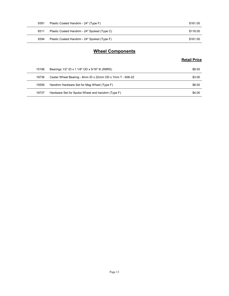| 9391 | Plastic Coated Handrim - 24" (Type F)        | \$161.00            |
|------|----------------------------------------------|---------------------|
| 6511 | Plastic Coated Handrim - 24" Spoked (Type C) | \$118.00            |
| 9394 | Plastic Coated Handrim - 24" Spoked (Type F) | \$161.00            |
|      |                                              |                     |
|      | <b>Wheel Components</b>                      |                     |
|      |                                              | <b>Retail Price</b> |

#### Wheel Components

| 9391  | Plastic Coated Handrim - 24" (Type F)                    | \$161.00            |
|-------|----------------------------------------------------------|---------------------|
| 6511  | Plastic Coated Handrim - 24" Spoked (Type C)             | \$118.00            |
| 9394  | Plastic Coated Handrim - 24" Spoked (Type F)             | \$161.00            |
|       | <b>Wheel Components</b>                                  |                     |
|       |                                                          |                     |
|       |                                                          | <b>Retail Price</b> |
| 15196 | Bearings 1/2" ID x 1 1/8" OD x 5/16" th (R8RS)           | \$8.00              |
| 19736 | Caster Wheel Bearing - 8mm ID x 22mm OD x 7mm T - 608-2Z | \$3.00              |
| 15556 | Handrim Hardware Set for Mag Wheel (Type F)              | \$8.00              |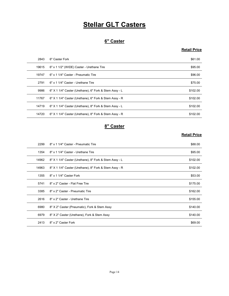# **Stellar GLT Casters**

#### 6" Caster

#### Retail Price

|       | <b>Stellar GLT Casters</b>                             |                     |
|-------|--------------------------------------------------------|---------------------|
|       |                                                        |                     |
|       | 6" Caster                                              |                     |
|       |                                                        | <b>Retail Price</b> |
| 2843  | 6" Caster Fork                                         | \$61.00             |
| 19615 | 6" x 1 1/2" (WIDE) Caster - Urethane Tire              | \$95.00             |
| 19747 | 6" x 1 1/4" Caster - Pneumatic Tire                    | \$96.00             |
| 2791  | 6" x 1 1/4" Caster - Urethane Tire                     | \$75.00             |
| 9986  | 6" X 1 1/4" Caster (Urethane), 6" Fork & Stem Assy - L | \$102.00            |
| 11767 | 6" X 1 1/4" Caster (Urethane), 6" Fork & Stem Assy - R | \$102.00            |
| 14719 | 6" X 1 1/4" Caster (Urethane), 8" Fork & Stem Assy - L | \$102.00            |
| 14720 | 6" X 1 1/4" Caster (Urethane), 8" Fork & Stem Assy - R | \$102.00            |
|       | 8" Caster                                              |                     |
|       |                                                        | <b>Retail Price</b> |
| 2299  | 8" x 1 1/4" Caster - Pneumatic Tire                    | \$88.00             |
| 1354  | 8" x 1 1/4" Caster - Urethane Tire                     | \$95.00             |
| 14962 | 8" X 1 1/4" Caster (Urethane), 8" Fork & Stem Assy - L | \$102.00            |
| 14963 | 8" X 1 1/4" Caster (Urethane), 8" Fork & Stem Assy - R | \$102.00            |
| 1355  | 8" x 1 1/4" Caster Fork                                | \$53.00             |
| 5741  | 8" x 2" Caster - Flat Free Tire                        | \$175.00            |

#### 8" Caster

| 19747 | 6" x 1 1/4" Caster - Pneumatic Tire                    | \$96.00             |
|-------|--------------------------------------------------------|---------------------|
| 2791  | 6" x 1 1/4" Caster - Urethane Tire                     | \$75.00             |
| 9986  | 6" X 1 1/4" Caster (Urethane), 6" Fork & Stem Assy - L | \$102.00            |
| 11767 | 6" X 1 1/4" Caster (Urethane), 6" Fork & Stem Assy - R | \$102.00            |
| 14719 | 6" X 1 1/4" Caster (Urethane), 8" Fork & Stem Assy - L | \$102.00            |
| 14720 | 6" X 1 1/4" Caster (Urethane), 8" Fork & Stem Assy - R | \$102.00            |
|       | 8" Caster                                              |                     |
|       |                                                        | <b>Retail Price</b> |
| 2299  | 8" x 1 1/4" Caster - Pneumatic Tire                    | \$88.00             |
| 1354  | 8" x 1 1/4" Caster - Urethane Tire                     | \$95.00             |
| 14962 | 8" X 1 1/4" Caster (Urethane), 8" Fork & Stem Assy - L | \$102.00            |
| 14963 | 8" X 1 1/4" Caster (Urethane), 8" Fork & Stem Assy - R | \$102.00            |
| 1355  | 8" x 1 1/4" Caster Fork                                | \$53.00             |
| 5741  | 8" x 2" Caster - Flat Free Tire                        | \$175.00            |
| 3385  | 8" x 2" Caster - Pneumatic Tire                        | \$162.00            |
| 2616  | 8" x 2" Caster - Urethane Tire                         | \$155.00            |
| 6980  | 8" X 2" Caster (Pneumatic), Fork & Stem Assy           | \$140.00            |
| 6979  | 8" X 2" Caster (Urethane), Fork & Stem Assy            | \$140.00            |
| 2413  | 8" x 2" Caster Fork                                    | \$69.00             |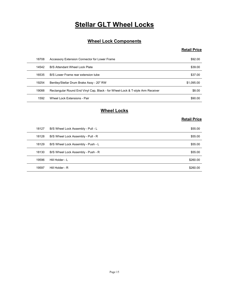# **Stellar GLT Wheel Locks**

#### Wheel Lock Components

#### Retail Price

|                | <b>Stellar GLT Wheel Locks</b>                                                                                             |                     |
|----------------|----------------------------------------------------------------------------------------------------------------------------|---------------------|
|                |                                                                                                                            |                     |
|                | <b>Wheel Lock Components</b>                                                                                               |                     |
|                |                                                                                                                            | <b>Retail Price</b> |
|                |                                                                                                                            |                     |
| 18708          | Accessory Extension Connector for Lower Frame                                                                              | \$92.00             |
| 14542          | B/S Attendant Wheel Lock Plate                                                                                             | \$39.00             |
| 16535          | B/S Lower Frame rear extension tube                                                                                        | \$37.00             |
| 19254<br>19088 | Bentley/Stellar Drum Brake Assy - 20" RW<br>Rectangular Round End Vinyl Cap, Black - for Wheel-Lock & T-style Arm Receiver | \$1,095.00          |
| 1592           | Wheel Lock Extensions - Pair                                                                                               | \$8.00<br>\$90.00   |
|                |                                                                                                                            |                     |
|                | <b>Wheel Locks</b>                                                                                                         |                     |
|                |                                                                                                                            | <b>Retail Price</b> |
| 18127          | B/S Wheel Lock Assembly - Pull - L                                                                                         | \$55.00             |
| 18128          | B/S Wheel Lock Assembly - Pull - R                                                                                         | \$55.00             |
| 18129          | B/S Wheel Lock Assembly - Push - L                                                                                         | \$55.00             |
| 18130          | B/S Wheel Lock Assembly - Push - R                                                                                         | \$55.00             |
| 19596          | Hill Holder - L                                                                                                            | \$260.00            |
| 10507          | Hill Holder - R                                                                                                            | \$260.00            |

#### Wheel Locks

| 18708 | Accessory Extension Connector for Lower Frame                                  | \$92.00             |
|-------|--------------------------------------------------------------------------------|---------------------|
| 14542 | B/S Attendant Wheel Lock Plate                                                 | \$39.00             |
| 16535 | B/S Lower Frame rear extension tube                                            | \$37.00             |
| 19254 | Bentley/Stellar Drum Brake Assy - 20" RW                                       | \$1,095.00          |
| 19088 | Rectangular Round End Vinyl Cap, Black - for Wheel-Lock & T-style Arm Receiver | \$8.00              |
| 1592  | Wheel Lock Extensions - Pair                                                   | \$90.00             |
|       | <b>Wheel Locks</b>                                                             | <b>Retail Price</b> |
| 18127 | B/S Wheel Lock Assembly - Pull - L                                             | \$55.00             |
| 18128 | B/S Wheel Lock Assembly - Pull - R                                             | \$55.00             |
| 18129 | B/S Wheel Lock Assembly - Push - L                                             | \$55.00             |
| 18130 | B/S Wheel Lock Assembly - Push - R                                             | \$55.00             |
| 19596 | Hill Holder - L                                                                | \$260.00            |
| 19597 | Hill Holder - R                                                                | \$260.00            |
|       |                                                                                |                     |
|       |                                                                                |                     |
|       |                                                                                |                     |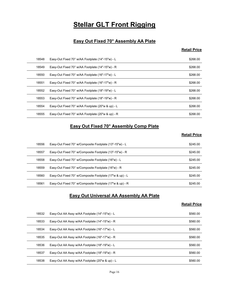# **Stellar GLT Front Rigging**

#### Easy Out Fixed 70° Assembly AA Plate

#### Retail Price

|       | <b>Stellar GLT Front Rigging</b>                         |                     |
|-------|----------------------------------------------------------|---------------------|
|       |                                                          |                     |
|       | Easy Out Fixed 70° Assembly AA Plate                     |                     |
|       |                                                          | <b>Retail Price</b> |
|       |                                                          |                     |
| 18548 | Easy-Out Fixed 70° w/AA Footplate (14"-15"w) - L         | \$268.00            |
| 18549 | Easy-Out Fixed 70° w/AA Footplate (14"-15"w) - R         | \$268.00            |
| 18550 | Easy-Out Fixed 70° w/AA Footplate (16"-17"w) - L         | \$268.00            |
| 18551 | Easy-Out Fixed 70° w/AA Footplate (16"-17"w) - R         | \$268.00            |
| 18552 | Easy-Out Fixed 70° w/AA Footplate (18"-19"w) - L         | \$268.00            |
| 18553 | Easy-Out Fixed 70° w/AA Footplate (18"-19"w) - R         | \$268.00            |
| 18554 | Easy-Out Fixed 70° w/AA Footplate (20"w & up) - L        | \$268.00            |
| 18555 | Easy-Out Fixed 70° w/AA Footplate (20"w & up) - R        | \$268.00            |
|       | Easy Out Fixed 70° Assembly Comp Plate                   |                     |
|       |                                                          | <b>Retail Price</b> |
| 18556 | Easy-Out Fixed 70° w/Composite Footplate (13"-15"w) - L  | \$245.00            |
| 18557 | Easy-Out Fixed 70° w/Composite Footplate (13"-15"w) - R  | \$245.00            |
| 18558 | Easy-Out Fixed 70° w/Composite Footplate (16"w) - L      | \$245.00            |
| 18559 | Easy-Out Fixed 70° w/Composite Footplate (16"w) - R      | \$245.00            |
| 18560 | Easy-Out Fixed 70° w/Composite Footplate (17"w & up) - L | \$245.00            |
|       |                                                          |                     |

#### Easy Out Fixed 70° Assembly Comp Plate

#### Retail Price

| 18551 | Easy-Out Fixed 70° w/AA Footplate (16"-17"w) - R                           | \$268.00            |
|-------|----------------------------------------------------------------------------|---------------------|
| 18552 | Easy-Out Fixed 70° w/AA Footplate (18"-19"w) - L                           | \$268.00            |
| 18553 | Easy-Out Fixed 70° w/AA Footplate (18"-19"w) - R                           | \$268.00            |
| 18554 | Easy-Out Fixed 70° w/AA Footplate (20"w & up) - L                          | \$268.00            |
| 18555 | Easy-Out Fixed 70° w/AA Footplate (20"w & up) - R                          | \$268.00            |
|       | <b>Easy Out Fixed 70° Assembly Comp Plate</b>                              | <b>Retail Price</b> |
| 18556 | Easy-Out Fixed 70° w/Composite Footplate (13"-15"w) - L                    | \$245.00            |
| 18557 | Easy-Out Fixed 70° w/Composite Footplate (13"-15"w) - R                    | \$245.00            |
| 18558 | Easy-Out Fixed 70° w/Composite Footplate (16"w) - L                        | \$245.00            |
| 18559 | Easy-Out Fixed 70° w/Composite Footplate (16"w) - R                        | \$245.00            |
| 18560 | Easy-Out Fixed 70° w/Composite Footplate (17"w & up) - L                   | \$245.00            |
| 18561 | Easy-Out Fixed 70° w/Composite Footplate (17"w & up) - R                   | \$245.00            |
|       | <b>Easy Out Universal AA Assembly AA Plate</b>                             | <b>Retail Price</b> |
| 18532 | Easy-Out AA Assy w/AA Footplate (14"-15"w) - L                             | \$560.00            |
| 18533 | Easy-Out AA Assy w/AA Footplate (14"-15"w) - R                             | \$560.00            |
| 18534 | Easy-Out AA Assy w/AA Footplate (16"-17"w) - L                             | \$560.00            |
| 18535 | Easy-Out AA Assy w/AA Footplate (16"-17"w) - R                             | \$560.00            |
| 18536 | Easy-Out AA Assy w/AA Footplate (18"-19"w) - L                             | \$560.00            |
| 18537 | $Fasev$ -Out $\Delta\Delta$ Assy $w/\Delta\Delta$ Footplate (18"-19"w) - R | \$560.00            |

#### Easy Out Universal AA Assembly AA Plate

| 18556 |                                                          |                     |
|-------|----------------------------------------------------------|---------------------|
|       | Easy-Out Fixed 70° w/Composite Footplate (13"-15"w) - L  | \$245.00            |
| 18557 | Easy-Out Fixed 70° w/Composite Footplate (13"-15"w) - R  | \$245.00            |
| 18558 | Easy-Out Fixed 70° w/Composite Footplate (16"w) - L      | \$245.00            |
| 18559 | Easy-Out Fixed 70° w/Composite Footplate (16"w) - R      | \$245.00            |
| 18560 | Easy-Out Fixed 70° w/Composite Footplate (17"w & up) - L | \$245.00            |
| 18561 | Easy-Out Fixed 70° w/Composite Footplate (17"w & up) - R | \$245.00            |
|       | <b>Easy Out Universal AA Assembly AA Plate</b>           | <b>Retail Price</b> |
| 18532 | Easy-Out AA Assy w/AA Footplate (14"-15"w) - L           | \$560.00            |
| 18533 | Easy-Out AA Assy w/AA Footplate (14"-15"w) - R           | \$560.00            |
| 18534 | Easy-Out AA Assy w/AA Footplate (16"-17"w) - L           | \$560.00            |
| 18535 | Easy-Out AA Assy w/AA Footplate (16"-17"w) - R           | \$560.00            |
| 18536 | Easy-Out AA Assy w/AA Footplate (18"-19"w) - L           | \$560.00            |
|       |                                                          | \$560.00            |
| 18537 | Easy-Out AA Assy w/AA Footplate (18"-19"w) - R           |                     |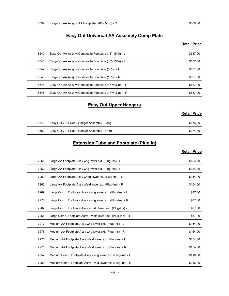# Easy-Out AA Assy w/AA Footplate (20"w & up) - R \$560.00<br>Easy Out Universal AA Assembly Comp Plate<br>Retail Price Easy Out Universal AA Assembly Comp Plate

#### Retail Price

| 18539 | Easy-Out AA Assy w/AA Footplate (20"w & up) - R         | \$560.00            |
|-------|---------------------------------------------------------|---------------------|
|       |                                                         |                     |
|       | <b>Easy Out Universal AA Assembly Comp Plate</b>        |                     |
|       |                                                         | <b>Retail Price</b> |
| 18540 | Easy-Out AA Assy w/Composite Footplate (13"-15"w) - L   | \$537.00            |
| 18541 | Easy-Out AA Assy w/Composite Footplate (13"-15"w) - R   | \$537.00            |
| 18542 | Easy-Out AA Assy w/Composite Footplate (16"w) - L       | \$537.00            |
| 18543 | Easy-Out AA Assy w/Composite Footplate (16"w) - R       | \$537.00            |
| 18544 | Easy-Out AA Assy w/Composite Footplate (17"w & up) - L  | \$537.00            |
| 18545 | Easy-Out AA Assy w/Composite Footplate (17"w & up) - R  | \$537.00            |
|       | <b>Easy Out Upper Hangers</b>                           |                     |
|       |                                                         | <b>Retail Price</b> |
| 19349 | Easy Out 70* Fixed - Hanger Assembly - Long             | \$176.00            |
| 19350 | Easy Out 70* Fixed - Hanger Assembly - Short            | \$174.00            |
|       | <b>Extension Tube and Footplate (Plug in)</b>           |                     |
|       |                                                         | <b>Retail Price</b> |
| 7261  | Large AA Footplate Assy w/lg lower ext. (Plug-Ins) - L  | \$154.00            |
| 7262  | Large AA Footplate Assy w/lg lower ext. (Plug-Ins) - R  | \$154.00            |
| 7259  | Large AA Footplate Assy w/std lower ext. (Plug-Ins) - L | \$154.00            |
| 7260  | Large AA Footplate Assy w/std lower ext (Plug-Ins) - R  | \$15400             |

#### Easy Out Upper Hangers

|                                           | <b>NUMBER</b> |
|-------------------------------------------|---------------|
| Out 70* Fixed - Hanger Assembly - Long    | \$176.00      |
| , Out 70* Fived - Hanger Assembly - Short | $$171$ $01$   |

#### Extension Tube and Footplate (Plug in)

#### Retail Price

| 18543 | Easy-Out AA Assy w/Composite Footplate (16"w) - R            | \$537.00            |
|-------|--------------------------------------------------------------|---------------------|
| 18544 | Easy-Out AA Assy w/Composite Footplate (17"w & up) - L       | \$537.00            |
| 18545 | Easy-Out AA Assy w/Composite Footplate (17"w & up) - R       | \$537.00            |
|       | <b>Easy Out Upper Hangers</b>                                |                     |
|       |                                                              | <b>Retail Price</b> |
|       |                                                              |                     |
| 19349 | Easy Out 70* Fixed - Hanger Assembly - Long                  | \$176.00            |
| 19350 | Easy Out 70* Fixed - Hanger Assembly - Short                 | \$174.00            |
|       | <b>Extension Tube and Footplate (Plug in)</b>                |                     |
|       |                                                              | <b>Retail Price</b> |
| 7261  | Large AA Footplate Assy w/lg lower ext. (Plug-Ins) - L       | \$154.00            |
| 7262  | Large AA Footplate Assy w/lg lower ext. (Plug-Ins) - R       | \$154.00            |
| 7259  | Large AA Footplate Assy w/std lower ext. (Plug-Ins) - L      | \$154.00            |
| 7260  | Large AA Footplate Assy w/std lower ext. (Plug-Ins) - R      | \$154.00            |
| 7269  | Large Comp. Footplate Assy - w/lg lower ext. (Plug-Ins) - L  | \$87.00             |
| 7270  | Large Comp. Footplate Assy - w/lg lower ext. (Plug-Ins) - R  | \$87.00             |
| 7267  | Large Comp. Footplate Assy - w/std lower ext. (Plug-Ins) - L | \$87.00             |
| 7268  | Large Comp. Footplate Assy - w/std lower ext. (Plug-Ins) - R | \$87.00             |
| 7277  | Medium AA Footplate Assy w/lg lower ext. (Plug-Ins) - L      | \$154.00            |
| 7278  | Medium AA Footplate Assy w/lg lower ext. (Plug-Ins) - R      | \$154.00            |
| 7275  | Medium AA Footplate Assy w/std lower ext. (Plug-Ins) - L     | \$154.00            |
| 7276  | Medium AA Footplate Assy w/std lower ext. (Plug-Ins) - R     | \$154.00            |
| 7257  | Medium Comp. Footplate Assy - w/lg lower ext. (Plug-Ins) - L | \$116.00            |
| 7258  | Medium Comp. Footplate Assy - w/lg lower ext. (Plug-Ins) - R | \$116.00            |
|       | Page 17                                                      |                     |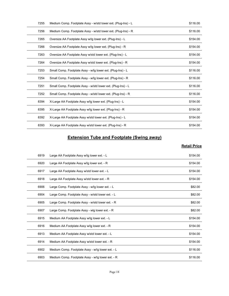| 7255 | Medium Comp. Footplate Assy - w/std lower ext. (Plug-Ins) - L | \$116.00            |
|------|---------------------------------------------------------------|---------------------|
| 7256 | Medium Comp. Footplate Assy - w/std lower ext. (Plug-Ins) - R | \$116.00            |
| 7265 | Oversize AA Footplate Assy w/lg lower ext. (Plug-Ins) - L     | \$154.00            |
| 7266 | Oversize AA Footplate Assy w/lg lower ext. (Plug-Ins) - R     | \$154.00            |
| 7263 | Oversize AA Footplate Assy w/std lower ext. (Plug-Ins) - L    | \$154.00            |
| 7264 | Oversize AA Footplate Assy w/std lower ext. (Plug-Ins) - R    | \$154.00            |
| 7253 | Small Comp. Footplate Assy - w/lg lower ext. (Plug-Ins) - L   | \$116.00            |
| 7254 | Small Comp. Footplate Assy - w/lg lower ext. (Plug-Ins) - R   | \$116.00            |
| 7251 | Small Comp. Footplate Assy - w/std lower ext. (Plug-Ins) - L  | \$116.00            |
| 7252 | Small Comp. Footplate Assy - w/std lower ext. (Plug-Ins) - R  | \$116.00            |
| 8394 | X-Large AA Footplate Assy w/lg lower ext. (Plug-Ins) - L      | \$154.00            |
| 8395 | X-Large AA Footplate Assy w/lg lower ext. (Plug-Ins) - R      | \$154.00            |
| 8392 | X-Large AA Footplate Assy w/std lower ext. (Plug-Ins) - L     | \$154.00            |
| 8393 | X-Large AA Footplate Assy w/std lower ext. (Plug-Ins) - R     | \$154.00            |
|      | <b>Extension Tube and Footplate (Swing away)</b>              |                     |
|      |                                                               | <b>Retail Price</b> |
| 6919 | Large AA Footplate Assy w/lg lower ext. - L                   | \$154.00            |
| 6920 | Large AA Footplate Assy w/lg lower ext. - R                   | \$154.00            |
| 6917 | Large AA Footplate Assy w/std lower ext. - L                  | \$154.00            |
| 6918 | Large AA Footplate Assy w/std lower ext. - R                  | \$154.00            |
| 6906 | Large Comp. Footplate Assy - w/lg lower ext. - L              | \$82.00             |
|      | Large Comp. Footplate Assy - w/std lower ext. - L             | \$82.00             |

#### Extension Tube and Footplate (Swing away)

| 7251 | Small Comp. Footplate Assy - w/std lower ext. (Plug-Ins) - L | \$116.00            |
|------|--------------------------------------------------------------|---------------------|
| 7252 | Small Comp. Footplate Assy - w/std lower ext. (Plug-Ins) - R | \$116.00            |
| 8394 | X-Large AA Footplate Assy w/lg lower ext. (Plug-Ins) - L     | \$154.00            |
| 8395 | X-Large AA Footplate Assy w/lg lower ext. (Plug-Ins) - R     | \$154.00            |
| 8392 | X-Large AA Footplate Assy w/std lower ext. (Plug-Ins) - L    | \$154.00            |
| 8393 | X-Large AA Footplate Assy w/std lower ext. (Plug-Ins) - R    | \$154.00            |
|      | <b>Extension Tube and Footplate (Swing away)</b>             |                     |
|      |                                                              | <b>Retail Price</b> |
| 6919 | Large AA Footplate Assy w/lg lower ext. - L                  | \$154.00            |
| 6920 | Large AA Footplate Assy w/lg lower ext. - R                  | \$154.00            |
| 6917 | Large AA Footplate Assy w/std lower ext. - L                 | \$154.00            |
| 6918 | Large AA Footplate Assy w/std lower ext. - R                 | \$154.00            |
| 6906 | Large Comp. Footplate Assy - w/lg lower ext. - L             | \$82.00             |
| 6904 | Large Comp. Footplate Assy - w/std lower ext. - L            | \$82.00             |
| 6905 | Large Comp. Footplate Assy - w/std lower ext. - R            | \$82.00             |
| 6907 | Large Comp. Footplate Assy - wlg lower ext. - R              | \$82.00             |
| 6915 | Medium AA Footplate Assy w/lg lower ext. - L                 | \$154.00            |
| 6916 | Medium AA Footplate Assy w/lg lower ext. - R                 | \$154.00            |
| 6913 | Medium AA Footplate Assy w/std lower ext. - L                | \$154.00            |
| 6914 | Medium AA Footplate Assy w/std lower ext. - R                | \$154.00            |
| 6902 | Medium Comp. Footplate Assy - w/lg lower ext. - L            | \$116.00            |
|      | Medium Comp. Footplate Assy - w/lg lower ext. - R            | \$116.00            |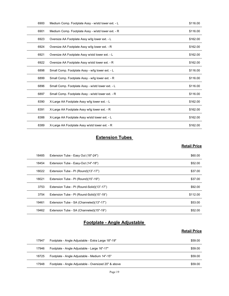| 6900  | Medium Comp. Footplate Assy - w/std lower ext. - L | \$116.00            |
|-------|----------------------------------------------------|---------------------|
| 6901  | Medium Comp. Footplate Assy - w/std lower ext. - R | \$116.00            |
| 6923  | Oversize AA Footplate Assy w/lg lower ext. - L     | \$162.00            |
| 6924  | Oversize AA Footplate Assy w/lg lower ext. - R     | \$162.00            |
| 6921  | Oversize AA Footplate Assy w/std lower ext. - L    | \$162.00            |
| 6922  | Oversize AA Footplate Assy w/std lower ext. - R    | \$162.00            |
| 6898  | Small Comp. Footplate Assy - w/lg lower ext. - L   | \$116.00            |
| 6899  | Small Comp. Footplate Assy - w/lg lower ext. - R   | \$116.00            |
| 6896  | Small Comp. Footplate Assy - w/std lower ext. - L  | \$116.00            |
| 6897  | Small Comp. Footplate Assy - w/std lower ext. - R  | \$116.00            |
| 8390  | X-Large AA Footplate Assy w/lg lower ext. - L      | \$162.00            |
| 8391  | X-Large AA Footplate Assy w/lg lower ext. - R      | \$162.00            |
| 8388  | X-Large AA Footplate Assy w/std lower ext. - L     | \$162.00            |
| 8389  | X-Large AA Footplate Assy w/std lower ext. - R     | \$162.00            |
|       | <b>Extension Tubes</b>                             |                     |
|       |                                                    | <b>Retail Price</b> |
| 18485 | Extension Tube - Easy Out (18"-24")                | \$60.00             |
| 18454 | Extension Tube - Easy-Out (14"-18")                | \$52.00             |
| 18022 | Extension Tube - PI (Round)(13"-17")               | \$37.00             |
| 18021 | Extension Tube - PI (Round)(15"-19")               | \$37.00             |
| 3753  | Extension Tube - PI (Round-Solid)(13"-17")         | \$92.00             |
| 3754  | Extension Tube - PL (Round-Solid)(15"-19")         | \$11200             |

## **Extension Tubes**

#### **Retail Price**

| 6896  | Small Comp. Footplate Assy - w/std lower ext. - L    | \$116.00            |
|-------|------------------------------------------------------|---------------------|
| 6897  | Small Comp. Footplate Assy - w/std lower ext. - R    | \$116.00            |
| 8390  | X-Large AA Footplate Assy w/lg lower ext. - L        | \$162.00            |
| 8391  | X-Large AA Footplate Assy w/lg lower ext. - R        | \$162.00            |
| 8388  | X-Large AA Footplate Assy w/std lower ext. - L       | \$162.00            |
| 8389  | X-Large AA Footplate Assy w/std lower ext. - R       | \$162.00            |
|       | <b>Extension Tubes</b>                               |                     |
|       |                                                      | <b>Retail Price</b> |
| 18485 | Extension Tube - Easy Out (18"-24")                  | \$60.00             |
| 18454 | Extension Tube - Easy-Out (14"-18")                  | \$52.00             |
| 18022 | Extension Tube - PI (Round)(13"-17")                 | \$37.00             |
| 18021 | Extension Tube - PI (Round)(15"-19")                 | \$37.00             |
| 3753  | Extension Tube - PI (Round-Solid)(13"-17")           | \$92.00             |
| 3754  | Extension Tube - PI (Round-Solid)(15"-19")           | \$112.00            |
| 19461 | Extension Tube - SA (Channeled)(13"-17")             | \$53.00             |
| 19462 | Extension Tube - SA (Channeled)(15"-19")             | \$52.00             |
|       | Footplate - Angle Adjustable                         |                     |
|       |                                                      | <b>Retail Price</b> |
| 17947 | Footplate - Angle Adjustable - Extra Large 18"-19"   | \$59.00             |
| 17946 | Footplate - Angle Adjustable - Large 16"-17"         | \$59.00             |
| 18725 | Footplate - Angle Adjustable - Medium 14"-15"        | \$59.00             |
| 17948 | Footplate - Angle Adjustable - Oversized 20" & above | \$59.00             |
|       | Page 19                                              |                     |

#### Footplate - Angle Adjustable

| 17947 | Footplate - Angle Adjustable - Extra Large 18"-19"   | \$59.00 |
|-------|------------------------------------------------------|---------|
| 17946 | Footplate - Angle Adjustable - Large 16"-17"         | \$59.00 |
| 18725 | Footplate - Angle Adjustable - Medium 14"-15"        | \$59.00 |
| 17948 | Footplate - Angle Adjustable - Oversized 20" & above | \$59.00 |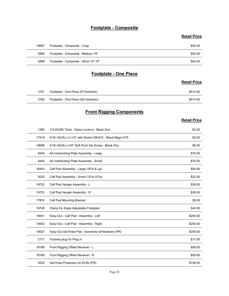#### Footplate - Composite

#### Retail Price

|       | Footplate - Composite                 |                     |
|-------|---------------------------------------|---------------------|
|       |                                       | <b>Retail Price</b> |
| 19687 | Footplate - Composite - Long          | \$44.00             |
| 5969  | Footplate - Composite - Medium 16"    | \$44.00             |
| 5968  | Footplate - Composite - Short 13"-15" | \$44.00             |
|       | <b>Footplate - One Piece</b>          |                     |
|       |                                       | <b>Retail Price</b> |
| 3161  | Footplate - One Piece (PI footrests)  | \$514.00            |
| 3162  | Footplate - One Piece (SA footrests)  | \$514.00            |
|       | <b>Front Rigging Components</b>       |                     |
|       |                                       | <b>Retail Price</b> |

#### Footplate - One Piece

#### **Retail Price**

| 3161 | Footplate - One Piece (PI footrests) | \$514.00 |
|------|--------------------------------------|----------|
| 3162 | Footplate - One Piece (SA footrests) | \$514.00 |

## **Front Rigging Components**

|       |                                                         | <b>Retail Price</b> |
|-------|---------------------------------------------------------|---------------------|
| 19687 | Footplate - Composite - Long                            | \$44.00             |
| 5969  | Footplate - Composite - Medium 16"                      | \$44.00             |
| 5968  | Footplate - Composite - Short 13"-15"                   | \$44.00             |
|       |                                                         |                     |
|       | <b>Footplate - One Piece</b>                            |                     |
|       |                                                         | <b>Retail Price</b> |
| 3161  | Footplate - One Piece (PI footrests)                    | \$514.00            |
| 3162  | Footplate - One Piece (SA footrests)                    | \$514.00            |
|       | <b>Front Rigging Components</b>                         |                     |
|       |                                                         | <b>Retail Price</b> |
| 1390  | 1/4-20(2B) Thick - Nylon Locknut - Black Zinc           | \$3.00              |
| 17919 | 5/16-18(3A) x 2-1/2" with Shank CBHCS - Black Magni 575 | \$3.00              |
| 18698 | 5/16-18(3A) x 3/4" Soft Point Set Screw - Black Zinc    | \$6.00              |
| 8445  | AA Interlocking Plate Assembly - Large                  | \$75.00             |
| 8444  | AA Interlocking Plate Assembly - Small                  | \$75.00             |
| 16443 | Calf Pad Assembly - Large (16"w & up)                   | \$50.00             |
| 9225  | Calf Pad Assembly - Small (12"w-15"w)                   | \$22.00             |
| 19722 | Calf Pad Hanger Assembly - L                            | \$38.00             |
| 19723 | Calf Pad Hanger Assembly - R                            | \$38.00             |
| 17874 | Calf Pad Mounting Bracket                               | \$9.00              |
| 16748 | Clamp for Angle Adjustable Footplate                    | \$44.00             |
| 19451 | Easy-Out - Calf Pad - Assembly - Left                   | \$200.00            |
| 19452 | Easy-Out - Calf Pad - Assembly - Right                  | \$200.00            |
| 18527 | Easy-Out Gel Knee Pad - Assembly w/Hardware (PR)        | \$209.00            |
| 2171  | Footrest plug for Plug in                               | \$17.00             |
| 18189 | Front Rigging Offset Receiver - L                       | \$59.00             |
| 18188 | Front Rigging Offset Receiver - R                       | \$59.00             |
| 9325  | Gel Knee Protectors for ELRs (PR)                       | \$148.00            |
|       | Page 20                                                 |                     |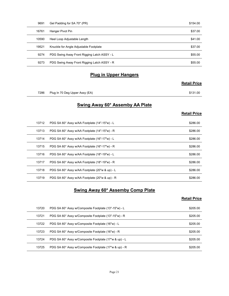| 9691  | Gel Padding for SA 70* (PR)                         | \$154.00            |
|-------|-----------------------------------------------------|---------------------|
| 16761 | Hanger Pivot Pin                                    | \$37.00             |
| 10590 | Heel Loop Adjustable Length                         | \$41.00             |
| 19521 | Knuckle for Angle Adjustable Footplate              | \$37.00             |
| 9274  | PDG Swing Away Front Rigging Latch ASSY - L         | \$55.00             |
| 9273  | PDG Swing Away Front Rigging Latch ASSY - R         | \$55.00             |
|       | <b>Plug in Upper Hangers</b>                        |                     |
|       |                                                     | <b>Retail Price</b> |
|       |                                                     |                     |
|       | 7286 Plug In 70 Deg Upper Assy (EA)                 | \$131.00            |
|       | Swing Away 60* Assemby AA Plate                     |                     |
|       |                                                     | <b>Retail Price</b> |
| 13712 | PDG SA 60° Assy w/AA Footplate (14"-15"w) - L       | \$286.00            |
| 13713 | PDG SA 60° Assy w/AA Footplate (14"-15"w) - R       | \$286.00            |
| 13714 | PDG SA 60° Assy w/AA Footplate (16"-17"w) - L       | \$286.00            |
|       | 13715 PDG SA 60° Assy w/AA Footplate (16"-17"w) - R |                     |

#### Plug in Upper Hangers

#### Retail Price

#### Swing Away 60\* Assemby AA Plate

#### Retail Price

| 10590 | Heel Loop Adjustable Length                           | \$41.00             |
|-------|-------------------------------------------------------|---------------------|
| 19521 | Knuckle for Angle Adjustable Footplate                | \$37.00             |
| 9274  | PDG Swing Away Front Rigging Latch ASSY - L           | \$55.00             |
| 9273  | PDG Swing Away Front Rigging Latch ASSY - R           | \$55.00             |
|       | <b>Plug in Upper Hangers</b>                          |                     |
|       |                                                       | <b>Retail Price</b> |
| 7286  | Plug In 70 Deg Upper Assy (EA)                        | \$131.00            |
|       | <b>Swing Away 60* Assemby AA Plate</b>                |                     |
|       |                                                       | <b>Retail Price</b> |
| 13712 | PDG SA 60° Assy w/AA Footplate (14"-15"w) - L         | \$286.00            |
| 13713 | PDG SA 60° Assy w/AA Footplate (14"-15"w) - R         | \$286.00            |
| 13714 | PDG SA 60° Assy w/AA Footplate (16"-17"w) - L         | \$286.00            |
| 13715 | PDG SA 60° Assy w/AA Footplate (16"-17"w) - R         | \$286.00            |
| 13716 | PDG SA 60° Assy w/AA Footplate (18"-19"w) - L         | \$286.00            |
| 13717 | PDG SA 60° Assy w/AA Footplate (18"-19"w) - R         | \$286.00            |
| 13718 | PDG SA 60° Assy w/AA Footplate (20"w & up) - L        | \$286.00            |
| 13719 | PDG SA 60° Assy w/AA Footplate (20"w & up) - R        | \$286.00            |
|       | <b>Swing Away 60* Assemby Comp Plate</b>              |                     |
|       |                                                       | <b>Retail Price</b> |
| 13720 | PDG SA 60° Assy w/Composite Footplate (13"-15"w) - L  | \$205.00            |
| 13721 | PDG SA 60° Assy w/Composite Footplate (13"-15"w) - R  | \$205.00            |
| 13722 | PDG SA 60° Assy w/Composite Footplate (16"w) - L      | \$205.00            |
| 13723 | PDG SA 60° Assy w/Composite Footplate (16"w) - R      | \$205.00            |
| 13724 | PDG SA 60° Assy w/Composite Footplate (17"w & up) - L | \$205.00            |
| 13725 | PDG SA 60° Assy w/Composite Footplate (17"w & up) - R | \$205.00            |

#### Swing Away 60\* Assemby Comp Plate

| 13715 | PDG SA 60° Assy w/AA Footplate (16"-17"w) - R         | \$286.00            |
|-------|-------------------------------------------------------|---------------------|
| 13716 | PDG SA 60° Assy w/AA Footplate (18"-19"w) - L         | \$286.00            |
| 13717 | PDG SA 60° Assy w/AA Footplate (18"-19"w) - R         | \$286.00            |
| 13718 | PDG SA 60° Assy w/AA Footplate (20"w & up) - L        | \$286.00            |
| 13719 | PDG SA 60° Assy w/AA Footplate (20"w & up) - R        | \$286.00            |
|       |                                                       |                     |
|       | <b>Swing Away 60* Assemby Comp Plate</b>              | <b>Retail Price</b> |
| 13720 | PDG SA 60° Assy w/Composite Footplate (13"-15"w) - L  | \$205.00            |
| 13721 | PDG SA 60° Assy w/Composite Footplate (13"-15"w) - R  | \$205.00            |
| 13722 | PDG SA 60° Assy w/Composite Footplate (16"w) - L      | \$205.00            |
| 13723 | PDG SA 60° Assy w/Composite Footplate (16"w) - R      | \$205.00            |
| 13724 | PDG SA 60° Assy w/Composite Footplate (17"w & up) - L | \$205.00            |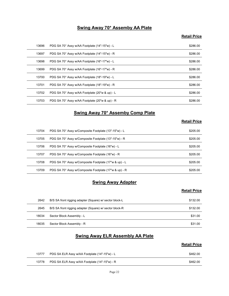#### Swing Away 70\* Assemby AA Plate

#### **Retail Price**

|       | Swing Away 70* Assemby AA Plate                       |                     |
|-------|-------------------------------------------------------|---------------------|
|       |                                                       | <b>Retail Price</b> |
| 13696 | PDG SA 70° Assy w/AA Footplate (14"-15"w) - L         | \$286.00            |
| 13697 | PDG SA 70° Assy w/AA Footplate (14"-15"w) - R         | \$286.00            |
| 13698 | PDG SA 70° Assy w/AA Footplate (16"-17"w) - L         | \$286.00            |
| 13699 | PDG SA 70° Assy w/AA Footplate (16"-17"w) - R         | \$286.00            |
| 13700 | PDG SA 70° Assy w/AA Footplate (18"-19"w) - L         | \$286.00            |
| 13701 | PDG SA 70° Assy w/AA Footplate (18"-19"w) - R         | \$286.00            |
| 13702 | PDG SA 70° Assy w/AA Footplate (20"w & up) - L        | \$286.00            |
| 13703 | PDG SA 70° Assy w/AA Footplate (20"w & up) - R        | \$286.00            |
|       | <b>Swing Away 70* Assemby Comp Plate</b>              |                     |
|       |                                                       | <b>Retail Price</b> |
| 13704 | PDG SA 70° Assy w/Composite Footplate (13"-15"w) - L  | \$205.00            |
| 13705 | PDG SA 70° Assy w/Composite Footplate (13"-15"w) - R  | \$205.00            |
| 13706 | PDG SA 70° Assy w/Composite Footplate (16"w) - L      | \$205.00            |
| 13707 | PDG SA 70° Assy w/Composite Footplate (16"w) - R      | \$205.00            |
| 13708 | PDG SA 70° Assy w/Composite Footplate (17"w & up) - L | \$205.00            |
|       |                                                       |                     |

#### Swing Away 70\* Assemby Comp Plate

#### Retail Price

| 13699 | PDG SA 70° Assy w/AA Footplate (16"-17"w) - R           | \$286.00            |
|-------|---------------------------------------------------------|---------------------|
| 13700 | PDG SA 70° Assy w/AA Footplate (18"-19"w) - L           | \$286.00            |
| 13701 | PDG SA 70° Assy w/AA Footplate (18"-19"w) - R           | \$286.00            |
| 13702 | PDG SA 70° Assy w/AA Footplate (20"w & up) - L          | \$286.00            |
| 13703 | PDG SA 70° Assy w/AA Footplate (20"w & up) - R          | \$286.00            |
|       | <b>Swing Away 70* Assemby Comp Plate</b>                |                     |
|       |                                                         | <b>Retail Price</b> |
| 13704 | PDG SA 70° Assy w/Composite Footplate (13"-15"w) - L    | \$205.00            |
| 13705 | PDG SA 70° Assy w/Composite Footplate (13"-15"w) - R    | \$205.00            |
| 13706 | PDG SA 70° Assy w/Composite Footplate (16"w) - L        | \$205.00            |
| 13707 | PDG SA 70° Assy w/Composite Footplate (16"w) - R        | \$205.00            |
| 13708 | PDG SA 70° Assy w/Composite Footplate (17"w & up) - L   | \$205.00            |
| 13709 | PDG SA 70° Assy w/Composite Footplate (17"w & up) - R   | \$205.00            |
|       | <b>Swing Away Adapter</b>                               |                     |
|       |                                                         | <b>Retail Price</b> |
| 2642  | B/S SA front rigging adapter (Square) w/ sector block-L | \$132.00            |
| 2645  | B/S SA front rigging adapter (Square) w/ sector block-R | \$132.00            |
| 18034 | Sector Block Assembly - L                               | \$31.00             |
|       | Sector Block Assembly - R                               | \$31.00             |

#### **Swing Away Adapter**

#### **Retail Price**

| 13708 | PDG SA 70° Assy w/Composite Footplate (17"w & up) - L   | \$205.00            |
|-------|---------------------------------------------------------|---------------------|
| 13709 | PDG SA 70° Assy w/Composite Footplate (17"w & up) - R   | \$205.00            |
|       | <b>Swing Away Adapter</b>                               |                     |
|       |                                                         | <b>Retail Price</b> |
| 2642  | B/S SA front rigging adapter (Square) w/ sector block-L | \$132.00            |
| 2645  | B/S SA front rigging adapter (Square) w/ sector block-R | \$132.00            |
| 18034 | Sector Block Assembly - L                               | \$31.00             |
| 18035 | Sector Block Assembly - R                               | \$31.00             |
|       | <b>Swing Away ELR Assembly AA Plate</b>                 |                     |
|       |                                                         | <b>Retail Price</b> |
| 13777 | PDG SA ELR Assy w/AA Footplate (14"-15"w) - L           | \$462.00            |
| 13778 | PDG SA ELR Assy w/AA Footplate (14"-15"w) - R           | \$462.00            |
|       | Page 22                                                 |                     |
|       |                                                         |                     |
|       |                                                         |                     |

#### Swing Away ELR Assembly AA Plate

| 13777 | PDG SA ELR Assy w/AA Footplate (14"-15"w) - L | \$462.00 |
|-------|-----------------------------------------------|----------|
| 13778 | PDG SA ELR Assy w/AA Footplate (14"-15"w) - R | \$462.00 |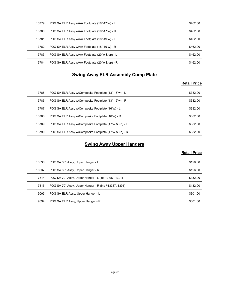| 13779 | PDG SA ELR Assy w/AA Footplate (16"-17"w) - L         | \$462.00            |
|-------|-------------------------------------------------------|---------------------|
| 13780 | PDG SA ELR Assy w/AA Footplate (16"-17"w) - R         | \$462.00            |
| 13781 | PDG SA ELR Assy w/AA Footplate (18"-19"w) - L         | \$462.00            |
| 13782 | PDG SA ELR Assy w/AA Footplate (18"-19"w) - R         | \$462.00            |
| 13783 | PDG SA ELR Assy w/AA Footplate (20"w & up) - L        | \$462.00            |
| 13784 | PDG SA ELR Assy w/AA Footplate (20"w & up) - R        | \$462.00            |
|       | <b>Swing Away ELR Assembly Comp Plate</b>             |                     |
|       |                                                       | <b>Retail Price</b> |
| 13785 | PDG SA ELR Assy w/Composite Footplate (13"-15"w) - L  | \$382.00            |
| 13786 | PDG SA ELR Assy w/Composite Footplate (13"-15"w) - R  | \$382.00            |
| 13787 | PDG SA ELR Assy w/Composite Footplate (16"w) - L      | \$382.00            |
| 13788 | PDG SA ELR Assy w/Composite Footplate (16"w) - R      | \$382.00            |
| 13789 | PDG SA ELR Assy w/Composite Footplate (17"w & up) - L | \$382.00            |
|       |                                                       |                     |

#### Swing Away ELR Assembly Comp Plate

#### Retail Price

| 13779 | PDG SA ELR Assy w/AA Footplate (16"-17"w) - L         | \$462.00            |
|-------|-------------------------------------------------------|---------------------|
| 13780 | PDG SA ELR Assy w/AA Footplate (16"-17"w) - R         | \$462.00            |
| 13781 | PDG SA ELR Assy w/AA Footplate (18"-19"w) - L         | \$462.00            |
| 13782 | PDG SA ELR Assy w/AA Footplate (18"-19"w) - R         | \$462.00            |
| 13783 | PDG SA ELR Assy w/AA Footplate (20"w & up) - L        | \$462.00            |
| 13784 | PDG SA ELR Assy w/AA Footplate (20"w & up) - R        | \$462.00            |
|       | <b>Swing Away ELR Assembly Comp Plate</b>             |                     |
|       |                                                       | <b>Retail Price</b> |
|       |                                                       |                     |
| 13785 | PDG SA ELR Assy w/Composite Footplate (13"-15"w) - L  | \$382.00            |
| 13786 | PDG SA ELR Assy w/Composite Footplate (13"-15"w) - R  | \$382.00            |
| 13787 | PDG SA ELR Assy w/Composite Footplate (16"w) - L      | \$382.00            |
| 13788 | PDG SA ELR Assy w/Composite Footplate (16"w) - R      | \$382.00            |
| 13789 | PDG SA ELR Assy w/Composite Footplate (17"w & up) - L | \$382.00            |
| 13790 | PDG SA ELR Assy w/Composite Footplate (17"w & up) - R | \$382.00            |
|       |                                                       |                     |
|       | <b>Swing Away Upper Hangers</b>                       |                     |
|       |                                                       | <b>Retail Price</b> |
| 10536 | PDG SA 60° Assy, Upper Hanger - L                     | \$126.00            |
| 10537 | PDG SA 60° Assy, Upper Hanger - R                     | \$126.00            |
| 7314  | PDG SA 70° Assy, Upper Hanger - L (inc 13387, 1391)   | \$132.00            |
| 7315  | PDG SA 70° Assy, Upper Hanger - R (Inc #13387, 1391)  | \$132.00            |
| 9095  | PDG SA ELR Assy, Upper Hanger - L                     | \$301.00            |
| 9094  | PDG SA ELR Assy, Upper Hanger - R                     | \$301.00            |
|       |                                                       |                     |

### **Swing Away Upper Hangers**

| 13786 | PDG SA ELR Assy w/Composite Footplate (13"-15"w) - R  | \$382.00            |
|-------|-------------------------------------------------------|---------------------|
| 13787 | PDG SA ELR Assy w/Composite Footplate (16"w) - L      | \$382.00            |
| 13788 | PDG SA ELR Assy w/Composite Footplate (16"w) - R      | \$382.00            |
| 13789 | PDG SA ELR Assy w/Composite Footplate (17"w & up) - L | \$382.00            |
| 13790 | PDG SA ELR Assy w/Composite Footplate (17"w & up) - R | \$382.00            |
|       |                                                       |                     |
|       | <b>Swing Away Upper Hangers</b>                       | <b>Retail Price</b> |
| 10536 | PDG SA 60° Assy, Upper Hanger - L                     | \$126.00            |
| 10537 | PDG SA 60° Assy, Upper Hanger - R                     | \$126.00            |
| 7314  | PDG SA 70° Assy, Upper Hanger - L (inc 13387, 1391)   | \$132.00            |
| 7315  | PDG SA 70° Assy, Upper Hanger - R (Inc #13387, 1391)  | \$132.00            |
| 9095  | PDG SA ELR Assy, Upper Hanger - L                     | \$301.00            |